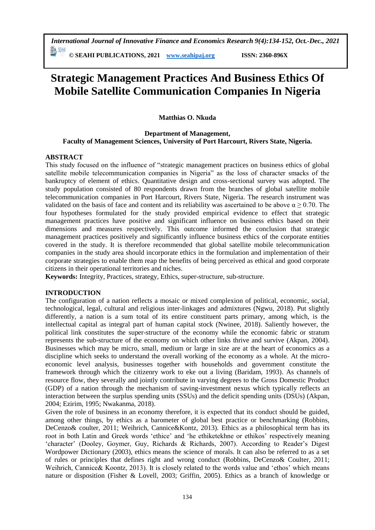*International Journal of Innovative Finance and Economics Research 9(4):134-152, Oct.-Dec., 2021*

勤卿 **© SEAHI PUBLICATIONS, 2021 [www.seahipaj.org](http://www.seahipaj.org/) ISSN: 2360-896X**

# **Strategic Management Practices And Business Ethics Of Mobile Satellite Communication Companies In Nigeria**

# **Matthias O. Nkuda**

#### **Department of Management, Faculty of Management Sciences, University of Port Harcourt, Rivers State, Nigeria.**

## **ABSTRACT**

This study focused on the influence of "strategic management practices on business ethics of global satellite mobile telecommunication companies in Nigeria" as the loss of character smacks of the bankruptcy of element of ethics. Quantitative design and cross-sectional survey was adopted. The study population consisted of 80 respondents drawn from the branches of global satellite mobile telecommunication companies in Port Harcourt, Rivers State, Nigeria. The research instrument was validated on the basis of face and content and its reliability was ascertained to be above  $\alpha \ge 0.70$ . The four hypotheses formulated for the study provided empirical evidence to effect that strategic management practices have positive and significant influence on business ethics based on their dimensions and measures respectively. This outcome informed the conclusion that strategic management practices positively and significantly influence business ethics of the corporate entities covered in the study. It is therefore recommended that global satellite mobile telecommunication companies in the study area should incorporate ethics in the formulation and implementation of their corporate strategies to enable them reap the benefits of being perceived as ethical and good corporate citizens in their operational territories and niches.

**Keywords:** Integrity, Practices, strategy, Ethics, super-structure, sub-structure.

## **INTRODUCTION**

The configuration of a nation reflects a mosaic or mixed complexion of political, economic, social, technological, legal, cultural and religious inter-linkages and admixtures (Ngwu, 2018). Put slightly differently, a nation is a sum total of its entire constituent parts primary, among which, is the intellectual capital as integral part of human capital stock (Nwinee, 2018). Saliently however, the political link constitutes the super-structure of the economy while the economic fabric or stratum represents the sub-structure of the economy on which other links thrive and survive (Akpan, 2004). Businesses which may be micro, small, medium or large in size are at the heart of economics as a discipline which seeks to understand the overall working of the economy as a whole. At the microeconomic level analysis, businesses together with households and government constitute the framework through which the citizenry work to eke out a living (Baridam, 1993). As channels of resource flow, they severally and jointly contribute in varying degrees to the Gross Domestic Product (GDP) of a nation through the mechanism of saving-investment nexus which typically reflects an interaction between the surplus spending units (SSUs) and the deficit spending units (DSUs) (Akpan, 2004; Ezirim, 1995; Nwakanma, 2018).

Given the role of business in an economy therefore, it is expected that its conduct should be guided, among other things, by ethics as a barometer of global best practice or benchmarking (Robbins, DeCenzo& coulter, 2011; Weihrich, Cannice&Kontz, 2013). Ethics as a philosophical term has its root in both Latin and Greek words 'ethice' and 'he ethiketekhne or ethikos' respectively meaning 'character' (Dooley, Goymer, Guy, Richards & Richards, 2007). According to Reader's Digest Wordpower Dictionary (2003), ethics means the science of morals. It can also be referred to as a set of rules or principles that defines right and wrong conduct (Robbins, DeCenzo& Coulter, 2011; Weihrich, Cannice& Koontz, 2013). It is closely related to the words value and 'ethos' which means nature or disposition (Fisher & Lovell, 2003; Griffin, 2005). Ethics as a branch of knowledge or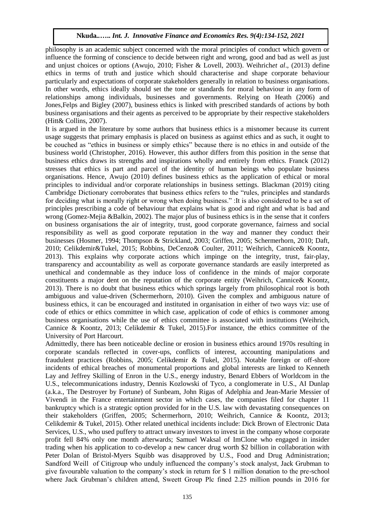philosophy is an academic subject concerned with the moral principles of conduct which govern or influence the forming of conscience to decide between right and wrong, good and bad as well as just and unjust choices or options (Awujo, 2010; Fisher & Lovell, 2003). Weihrich*et al*., (2013) define ethics in terms of truth and justice which should characterise and shape corporate behaviour particularly and expectations of corporate stakeholders generally in relation to business organisations. In other words, ethics ideally should set the tone or standards for moral behaviour in any form of relationships among individuals, businesses and governments. Relying on Heath (2006) and Jones,Felps and Bigley (2007), business ethics is linked with prescribed standards of actions by both business organisations and their agents as perceived to be appropriate by their respective stakeholders (Hitt& Collins, 2007).

It is argued in the literature by some authors that business ethics is a misnomer because its current usage suggests that primary emphasis is placed on business as against ethics and as such, it ought to be couched as "ethics in business or simply ethics" because there is no ethics in and outside of the business world (Christopher, 2016). However, this author differs from this position in the sense that business ethics draws its strengths and inspirations wholly and entirely from ethics. Franck (2012) stresses that ethics is part and parcel of the identity of human beings who populate business organisations. Hence, Awujo (2010) defines business ethics as the application of ethical or moral principles to individual and/or corporate relationships in business settings. Blackman (2019) citing Cambridge Dictionary corroborates that business ethics refers to the "rules, principles and standards for deciding what is morally right or wrong when doing business." :It is also considered to be a set of principles prescribing a code of behaviour that explains what is good and right and what is bad and wrong (Gomez-Mejia &Balkin, 2002). The major plus of business ethics is in the sense that it confers on business organisations the air of integrity, trust, good corporate governance, fairness and social responsibility as well as good corporate reputation in the way and manner they conduct their businesses (Hosmer, 1994; Thompson & Strickland, 2003; Griffen, 2005; Schermerhorn, 2010; Daft, 2010; Celikdemir&Tukel, 2015; Robbins, DeCenzo& Coulter, 2011; Weihrich, Cannice& Koontz, 2013). This explains why corporate actions which impinge on the integrity, trust, fair-play, transparency and accountability as well as corporate governance standards are easily interpreted as unethical and condemnable as they induce loss of confidence in the minds of major corporate constituents a major dent on the reputation of the corporate entity (Weihrich, Cannice& Koontz, 2013). There is no doubt that business ethics which springs largely from philosophical root is both ambiguous and value-driven (Schermerhorn, 2010). Given the complex and ambiguous nature of business ethics, it can be encouraged and instituted in organisation in either of two ways viz: use of code of ethics or ethics committee in which case, application of code of ethics is commoner among business organisations while the use of ethics committee is associated with institutions (Weihrich, Cannice & Koontz, 2013; Celikdemir & Tukel, 2015).For instance, the ethics committee of the University of Port Harcourt.

Admittedly, there has been noticeable decline or erosion in business ethics around 1970s resulting in corporate scandals reflected in cover-ups, conflicts of interest, accounting manipulations and fraudulent practices (Robbins, 2005; Celikdemir & Tukel, 2015). Notable foreign or off-shore incidents of ethical breaches of monumental proportions and global interests are linked to Kenneth Lay and Jeffrey Skilling of Enron in the U.S., energy industry, Benard Ebbers of Worldcom in the U.S., telecommunications industry, Dennis Kozlowski of Tyco, a conglomerate in U.S., AI Dunlap (a.k.a., The Destroyer by Fortune) of Sunbeam, John Rigas of Adelphia and Jean-Marie Messier of Vivendi in the France entertainment sector in which cases, the companies filed for chapter 11 bankruptcy which is a strategic option provided for in the U.S. law with devastating consequences on their stakeholders (Griffen, 2005; Schermerhorn, 2010; Weihrich, Cannice & Koontz, 2013; Celikdemir & Tukel, 2015). Other related unethical incidents include: Dick Brown of Electronic Data Services, U.S., who used puffery to attract unwary investors to invest in the company whose corporate profit fell 84% only one month afterwards; Samuel Waksal of ImClone who engaged in insider trading when his application to co-develop a new cancer drug worth \$2 billion in collaboration with Peter Dolan of Bristol-Myers Squibb was disapproved by U.S., Food and Drug Administration; Sandford Weill of Citigroup who unduly influenced the company's stock analyst, Jack Grubman to give favourable valuation to the company's stock in return for \$ 1 million donation to the pre-school where Jack Grubman's children attend, Sweett Group Plc fined 2.25 million pounds in 2016 for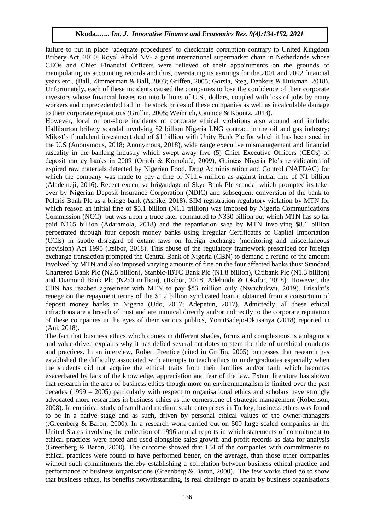failure to put in place 'adequate procedures' to checkmate corruption contrary to United Kingdom Bribery Act, 2010; Royal Ahold NV- a giant international supermarket chain in Netherlands whose CEOs and Chief Financial Officers were relieved of their appointments on the grounds of manipulating its accounting records and thus, overstating its earnings for the 2001 and 2002 financial years etc., (Ball, Zimmerman & Ball, 2003; Griffen, 2005; Gorsia, Steg, Denkers & Huisman, 2018). Unfortunately, each of these incidents caused the companies to lose the confidence of their corporate investors whose financial losses ran into billions of U.S., dollars, coupled with loss of jobs by many workers and unprecedented fall in the stock prices of these companies as well as incalculable damage to their corporate reputations (Griffin, 2005; Weihrich, Cannice & Koontz, 2013).

However, local or on-shore incidents of corporate ethical violations also abound and include: Halliburton bribery scandal involving \$2 billion Nigeria LNG contract in the oil and gas industry; Milost's fraudulent investment deal of \$1 billion with Unity Bank Plc for which it has been sued in the U.S (Anonymous, 2018; Anonymous, 2018), wide range executive mismanagement and financial rascality in the banking industry which swept away five (5) Chief Executive Officers (CEOs) of deposit money banks in 2009 (Omoh & Komolafe, 2009), Guiness Nigeria Plc's re-validation of expired raw materials detected by Nigerian Food, Drug Administration and Control (NAFDAC) for which the company was made to pay a fine of N11.4 million as against initial fine of N1 billion (Alademeji, 2016). Recent executive brigandage of Skye Bank Plc scandal which prompted its takeover by Nigerian Deposit Insurance Corporation (NDIC) and subsequent conversion of the bank to Polaris Bank Plc as a bridge bank (Ashike, 2018), SIM registration regulatory violation by MTN for which reason an initial fine of \$5.1 billion (N1.1 trillion) was imposed by Nigeria Communications Commission (NCC) but was upon a truce later commuted to N330 billion out which MTN has so far paid N165 billion (Adaramola, 2018) and the repatriation saga by MTN involving \$8.1 billion perpetrated through four deposit money banks using irregular Certificates of Capital Importation (CCIs) in subtle disregard of extant laws on foreign exchange (monitoring and miscellaneous provision) Act 1995 (Itsibor, 2018). This abuse of the regulatory framework prescribed for foreign exchange transaction prompted the Central Bank of Nigeria (CBN) to demand a refund of the amount involved by MTN and also imposed varying amounts of fine on the four affected banks thus: Standard Chartered Bank Plc (N2.5 billion), Stanbic-IBTC Bank Plc (N1.8 billion), Citibank Plc (N1.3 billion) and Diamond Bank Plc (N250 million), (Itsibor, 2018, Adehinde & Okafor, 2018). However, the CBN has reached agreement with MTN to pay \$53 million only (Nwachukwu, 2019). Etisalat's renege on the repayment terms of the \$1.2 billion syndicated loan it obtained from a consortium of deposit money banks in Nigeria (Udo, 2017; Adepetun, 2017). Admittedly, all these ethical infractions are a breach of trust and are inimical directly and/or indirectly to the corporate reputation of these companies in the eyes of their various publics, YomiBadejo-Okusanya (2018) reported in (Ani, 2018).

The fact that business ethics which comes in different shades, forms and complexions is ambiguous and value-driven explains why it has defied several antidotes to stem the tide of unethical conducts and practices. In an interview, Robert Prentice (cited in Griffin, 2005) buttresses that research has established the difficulty associated with attempts to teach ethics to undergraduates especially when the students did not acquire the ethical traits from their families and/or faith which becomes exacerbated by lack of the knowledge, appreciation and fear of the law. Extant literature has shown that research in the area of business ethics though more on environmentalism is limited over the past decades (1999 – 2005) particularly with respect to organisational ethics and scholars have strongly advocated more researches in business ethics as the cornerstone of strategic management (Robertson, 2008). In empirical study of small and medium scale enterprises in Turkey, business ethics was found to be in a native stage and as such, driven by personal ethical values of the owner-managers (.Greenberg & Baron, 2000). In a research work carried out on 500 large-scaled companies in the United States involving the collection of 1996 annual reports in which statements of commitment to ethical practices were noted and used alongside sales growth and profit records as data for analysis (Greenberg & Baron, 2000). The outcome showed that 134 of the companies with commitments to ethical practices were found to have performed better, on the average, than those other companies without such commitments thereby establishing a correlation between business ethical practice and performance of business organisations (Greenberg & Baron, 2000). The few works cited go to show that business ethics, its benefits notwithstanding, is real challenge to attain by business organisations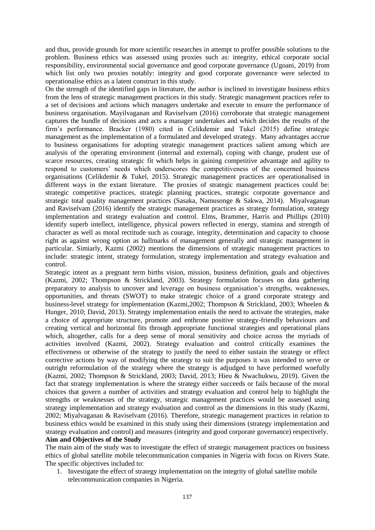and thus, provide grounds for more scientific researches in attempt to proffer possible solutions to the problem. Business ethics was assessed using proxies such as: integrity, ethical corporate social responsibility, environmental social governance and good corporate governance (Ugoani, 2019) from which list only two proxies notably: integrity and good corporate governance were selected to operationalise ethics as a latent construct in this study.

On the strength of the identified gaps in literature, the author is inclined to investigate business ethics from the lens of strategic management practices in this study. Strategic management practices refer to a set of decisions and actions which managers undertake and execute to ensure the performance of business organisation. Mayilvaganan and Raviselvam (2016) corroborate that strategic management captures the bundle of decisions and acts a manager undertakes and which decides the results of the firm's performance. Bracker (1980) cited in Celikdemir and Tukel (2015) define strategic management as the implementation of a formulated and developed strategy. Many advantages accrue to business organisations for adopting strategic management practices salient among which are analysis of the operating environment (internal and external), coping with change, prudent use of scarce resources, creating strategic fit which helps in gaining competitive advantage and agility to respond to customers' needs which underscores the competitiveness of the concerned business organisations (Celikdemir & Tukel, 2015). Strategic management practices are operationalised in different ways in the extant literature. The proxies of strategic management practices could be: strategic competitive practices, strategic planning practices, strategic corporate governance and strategic total quality management practices (Sasaka, Namusonge & Sakwa, 2014). Miyalvaganan and Raviselvam (2016) identify the strategic management practices as strategy formulation, strategy implementation and strategy evaluation and control. Elms, Brammer, Harris and Phillips (2010) identify superb intellect, intelligence, physical powers reflected in energy, stamina and strength of character as well as moral rectitude such as courage, integrity, determination and capacity to choose right as against wrong option as hallmarks of management generally and strategic management in particular. Simiarly, Kazmi (2002) mentions the dimensions of strategic management practices to include: strategic intent, strategy formulation, strategy implementation and strategy evaluation and control.

Strategic intent as a pregnant term births vision, mission, business definition, goals and objectives (Kazmi, 2002; Thompson & Strickland, 2003). Strategy formulation focuses on data gathering preparatory to analysis to uncover and leverage on business organisation's strengths, weaknesses, opportunities, and threats (SWOT) to make strategic choice of a grand corporate strategy and business-level strategy for implementation (Kazmi,2002; Thompson & Strickland, 2003; Wheelen & Hunger, 2010; David, 2013). Strategy implementation entails the need to activate the strategies, make a choice of appropriate structure, promote and enthrone positive strategy-friendly behaviours and creating vertical and horizontal fits through appropriate functional strategies and operational plans which, altogether, calls for a deep sense of moral sensitivity and choice across the myriads of activities involved (Kazmi, 2002). Strategy evaluation and control critically examines the effectiveness or otherwise of the strategy to justify the need to either sustain the strategy or effect corrective actions by way of modifying the strategy to suit the purposes it was intended to serve or outright reformulation of the strategy where the strategy is adjudged to have performed woefully (Kazmi, 2002; Thompson & Strickland, 2003; David, 2013; Hieu & Nwachukwu, 2019). Given the fact that strategy implementation is where the strategy either succeeds or fails because of the moral choices that govern a number of activities and strategy evaluation and control help to highlight the strengths or weaknesses of the strategy, strategic management practices would be assessed using strategy implementation and strategy evaluation and control as the dimensions in this study (Kazmi, 2002; Miyalvaganan & Raviselvam (2016). Therefore, strategic management practices in relation to business ethics would be examined in this study using their dimensions (strategy implementation and strategy evaluation and control) and measures (integrity and good corporate governance) respectively.

# **Aim and Objectives of the Study**

The main aim of the study was to investigate the effect of strategic management practices on business ethics of global satellite mobile telecommunication companies in Nigeria with focus on Rivers State. The specific objectives included to:

1. Investigate the effect of strategy implementation on the integrity of global satellite mobile telecommunication companies in Nigeria.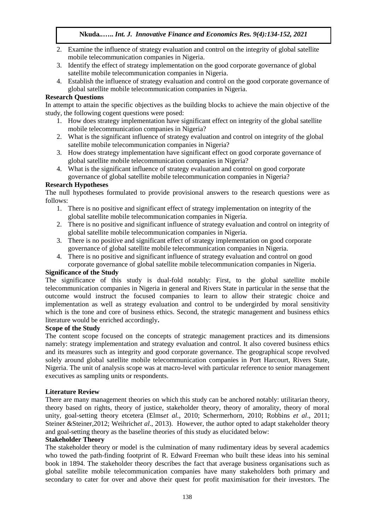- 2. Examine the influence of strategy evaluation and control on the integrity of global satellite mobile telecommunication companies in Nigeria.
- 3. Identify the effect of strategy implementation on the good corporate governance of global satellite mobile telecommunication companies in Nigeria.
- 4. Establish the influence of strategy evaluation and control on the good corporate governance of global satellite mobile telecommunication companies in Nigeria.

# **Research Questions**

In attempt to attain the specific objectives as the building blocks to achieve the main objective of the study, the following cogent questions were posed:

- 1. How does strategy implementation have significant effect on integrity of the global satellite mobile telecommunication companies in Nigeria?
- 2. What is the significant influence of strategy evaluation and control on integrity of the global satellite mobile telecommunication companies in Nigeria?
- 3. How does strategy implementation have significant effect on good corporate governance of global satellite mobile telecommunication companies in Nigeria?
- 4. What is the significant influence of strategy evaluation and control on good corporate governance of global satellite mobile telecommunication companies in Nigeria?

# **Research Hypotheses**

The null hypotheses formulated to provide provisional answers to the research questions were as follows:

- 1. There is no positive and significant effect of strategy implementation on integrity of the global satellite mobile telecommunication companies in Nigeria.
- 2. There is no positive and significant influence of strategy evaluation and control on integrity of global satellite mobile telecommunication companies in Nigeria.
- 3. There is no positive and significant effect of strategy implementation on good corporate governance of global satellite mobile telecommunication companies in Nigeria.
- 4. There is no positive and significant influence of strategy evaluation and control on good corporate governance of global satellite mobile telecommunication companies in Nigeria.

# **Significance of the Study**

The significance of this study is dual-fold notably: First, to the global satellite mobile telecommunication companies in Nigeria in general and Rivers State in particular in the sense that the outcome would instruct the focused companies to learn to allow their strategic choice and implementation as well as strategy evaluation and control to be undergirded by moral sensitivity which is the tone and core of business ethics. Second, the strategic management and business ethics literature would be enriched accordingly**.**

## **Scope of the Study**

The content scope focused on the concepts of strategic management practices and its dimensions namely: strategy implementation and strategy evaluation and control. It also covered business ethics and its measures such as integrity and good corporate governance. The geographical scope revolved solely around global satellite mobile telecommunication companies in Port Harcourt, Rivers State, Nigeria. The unit of analysis scope was at macro-level with particular reference to senior management executives as sampling units or respondents.

## **Literature Review**

There are many management theories on which this study can be anchored notably: utilitarian theory, theory based on rights, theory of justice, stakeholder theory, theory of amorality, theory of moral unity, goal-setting theory etcetera (Elms*et al.*, 2010; Schermerhorn, 2010; Robbins *et al*., 2011; Steiner & Steiner, 2012; Weihrich*et al.*, 2013). However, the author opted to adapt stakeholder theory and goal-setting theory as the baseline theories of this study as elucidated below:

## **Stakeholder Theory**

The stakeholder theory or model is the culmination of many rudimentary ideas by several academics who towed the path-finding footprint of R. Edward Freeman who built these ideas into his seminal book in 1894. The stakeholder theory describes the fact that average business organisations such as global satellite mobile telecommunication companies have many stakeholders both primary and secondary to cater for over and above their quest for profit maximisation for their investors. The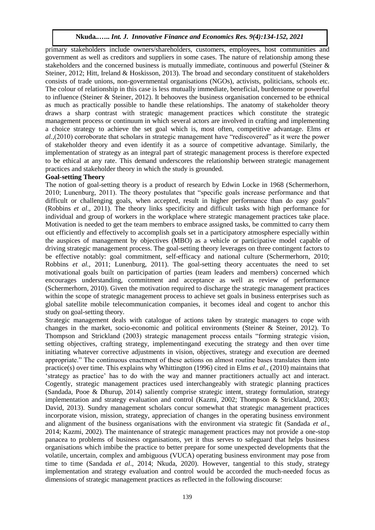primary stakeholders include owners/shareholders, customers, employees, host communities and government as well as creditors and suppliers in some cases. The nature of relationship among these stakeholders and the concerned business is mutually immediate, continuous and powerful (Steiner & Steiner, 2012; Hitt, Ireland & Hoskisson, 2013). The broad and secondary constituent of stakeholders consists of trade unions, non-governmental organisations (NGOs), activists, politicians, schools etc. The colour of relationship in this case is less mutually immediate, beneficial, burdensome or powerful to influence (Steiner & Steiner, 2012). It behooves the business organisation concerned to be ethnical as much as practically possible to handle these relationships. The anatomy of stakeholder theory draws a sharp contrast with strategic management practices which constitute the strategic management process or continuum in which several actors are involved in crafting and implementing a choice strategy to achieve the set goal which is, most often, competitive advantage. Elms *et al.,*(2010) corroborate that scholars in strategic management have "rediscovered" as it were the power of stakeholder theory and even identify it as a source of competitive advantage. Similarly, the implementation of strategy as an integral part of strategic management process is therefore expected to be ethical at any rate. This demand underscores the relationship between strategic management practices and stakeholder theory in which the study is grounded.

#### **Goal-setting Theory**

The notion of goal-setting theory is a product of research by Edwin Locke in 1968 (Schermerhorn, 2010; Lunenburg, 2011). The theory postulates that "specific goals increase performance and that difficult or challenging goals, when accepted, result in higher performance than do easy goals" (Robbins *et al*., 2011). The theory links specificity and difficult tasks with high performance for individual and group of workers in the workplace where strategic management practices take place. Motivation is needed to get the team members to embrace assigned tasks, be committed to carry them out efficiently and effectively to accomplish goals set in a participatory atmosphere especially within the auspices of management by objectives (MBO) as a vehicle or participative model capable of driving strategic management process. The goal-setting theory leverages on three contingent factors to be effective notably: goal commitment, self-efficacy and national culture (Schermerhorn, 2010; Robbins *et al.,* 2011; Lunenburg, 2011). The goal-setting theory accentuates the need to set motivational goals built on participation of parties (team leaders and members) concerned which encourages understanding, commitment and acceptance as well as review of performance (Schermerhorn, 2010). Given the motivation required to discharge the strategic management practices within the scope of strategic management process to achieve set goals in business enterprises such as global satellite mobile telecommunication companies, it becomes ideal and cogent to anchor this study on goal-setting theory.

Strategic management deals with catalogue of actions taken by strategic managers to cope with changes in the market, socio-economic and political environments (Steiner & Steiner, 2012). To Thompson and Strickland (2003) strategic management process entails "forming strategic vision, setting objectives, crafting strategy, implementingand executing the strategy and then over time initiating whatever corrective adjustments in vision, objectives, strategy and execution are deemed appropriate." The continuous enactment of these actions on almost routine bases translates them into practice(s) over time. This explains why Whittington (1996) cited in Elms *et al*., (2010) maintains that 'strategy as practice' has to do with the way and manner practitioners actually act and interact. Cogently, strategic management practices used interchangeably with strategic planning practices (Sandada, Pooe & Dhurup, 2014) saliently comprise strategic intent, strategy formulation, strategy implementation and strategy evaluation and control (Kazmi, 2002; Thompson & Strickland, 2003; David, 2013). Sundry management scholars concur somewhat that strategic management practices incorporate vision, mission, strategy, appreciation of changes in the operating business environment and alignment of the business organisations with the environment via strategic fit (Sandada *et al*., 2014; Kazmi, 2002). The maintenance of strategic management practices may not provide a one-stop panacea to problems of business organisations, yet it thus serves to safeguard that helps business organisations which imbibe the practice to better prepare for some unexpected developments that the volatile, uncertain, complex and ambiguous (VUCA) operating business environment may pose from time to time (Sandada *et al*., 2014; Nkuda, 2020). However, tangential to this study, strategy implementation and strategy evaluation and control would be accorded the much-needed focus as dimensions of strategic management practices as reflected in the following discourse: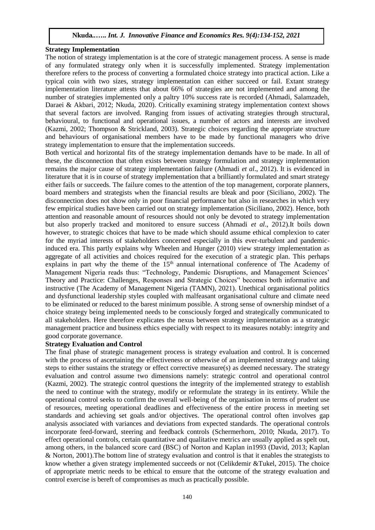#### **Strategy Implementation**

The notion of strategy implementation is at the core of strategic management process. A sense is made of any formulated strategy only when it is successfully implemented. Strategy implementation therefore refers to the process of converting a formulated choice strategy into practical action. Like a typical coin with two sizes, strategy implementation can either succeed or fail. Extant strategy implementation literature attests that about 66% of strategies are not implemented and among the number of strategies implemented only a paltry 10% success rate is recorded (Ahmadi, Salamzadeh, Daraei & Akbari, 2012; Nkuda, 2020). Critically examining strategy implementation context shows that several factors are involved. Ranging from issues of activating strategies through structural, behavioural, to functional and operational issues, a number of actors and interests are involved (Kazmi, 2002; Thompson & Strickland, 2003). Strategic choices regarding the appropriate structure and behaviours of organisational members have to be made by functional managers who drive strategy implementation to ensure that the implementation succeeds.

Both vertical and horizontal fits of the strategy implementation demands have to be made. In all of these, the disconnection that often exists between strategy formulation and strategy implementation remains the major cause of strategy implementation failure (Ahmadi *et al*., 2012). It is evidenced in literature that it is in course of strategy implementation that a brilliantly formulated and smart strategy either fails or succeeds. The failure comes to the attention of the top management, corporate planners, board members and strategists when the financial results are bleak and poor (Siciliano, 2002). The disconnection does not show only in poor financial performance but also in researches in which very few empirical studies have been carried out on strategy implementation (Siciliano, 2002). Hence, both attention and reasonable amount of resources should not only be devoted to strategy implementation but also properly tracked and monitored to ensure success (Ahmadi *et al*., 2012).It boils down however, to strategic choices that have to be made which should assume ethical complexion to cater for the myriad interests of stakeholders concerned especially in this ever-turbulent and pandemicinduced era. This partly explains why Wheelen and Hunger (2010) view strategy implementation as aggregate of all activities and choices required for the execution of a strategic plan. This perhaps explains in part why the theme of the  $15<sup>th</sup>$  annual international conference of The Academy of Management Nigeria reads thus: "Technology, Pandemic Disruptions, and Management Sciences' Theory and Practice: Challenges, Responses and Strategic Choices" becomes both informative and instructive (The Academy of Management Nigeria (TAMN), 2021). Unethical organisational politics and dysfunctional leadership styles coupled with malfeasant organisational culture and climate need to be eliminated or reduced to the barest minimum possible. A strong sense of ownership mindset of a choice strategy being implemented needs to be consciously forged and strategically communicated to all stakeholders. Here therefore explicates the nexus between strategy implementation as a strategic management practice and business ethics especially with respect to its measures notably: integrity and good corporate governance.

#### **Strategy Evaluation and Control**

The final phase of strategic management process is strategy evaluation and control. It is concerned with the process of ascertaining the effectiveness or otherwise of an implemented strategy and taking steps to either sustains the strategy or effect corrective measure(s) as deemed necessary. The strategy evaluation and control assume two dimensions namely: strategic control and operational control (Kazmi, 2002). The strategic control questions the integrity of the implemented strategy to establish the need to continue with the strategy, modify or reformulate the strategy in its entirety. While the operational control seeks to confirm the overall well-being of the organisation in terms of prudent use of resources, meeting operational deadlines and effectiveness of the entire process in meeting set standards and achieving set goals and/or objectives. The operational control often involves gap analysis associated with variances and deviations from expected standards. The operational controls incorporate feed-forward, steering and feedback controls (Schermerhorn, 2010; Nkuda, 2017). To effect operational controls, certain quantitative and qualitative metrics are usually applied as spelt out, among others, in the balanced score card (BSC) of Norton and Kaplan in1993 (David, 2013; Kaplan & Norton, 2001).The bottom line of strategy evaluation and control is that it enables the strategists to know whether a given strategy implemented succeeds or not (Celikdemir &Tukel, 2015). The choice of appropriate metric needs to be ethical to ensure that the outcome of the strategy evaluation and control exercise is bereft of compromises as much as practically possible.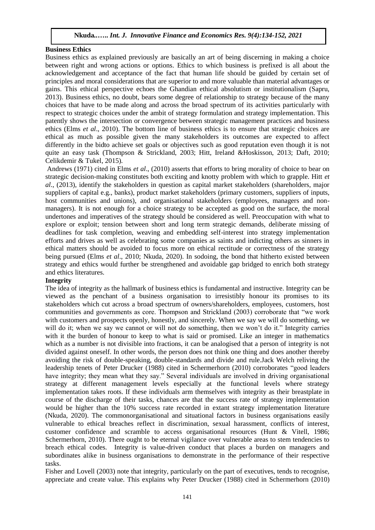#### **Business Ethics**

Business ethics as explained previously are basically an art of being discerning in making a choice between right and wrong actions or options. Ethics to which business is prefixed is all about the acknowledgement and acceptance of the fact that human life should be guided by certain set of principles and moral considerations that are superior to and more valuable than material advantages or gains. This ethical perspective echoes the Ghandian ethical absolutism or institutionalism (Sapru, 2013). Business ethics, no doubt, bears some degree of relationship to strategy because of the many choices that have to be made along and across the broad spectrum of its activities particularly with respect to strategic choices under the ambit of strategy formulation and strategy implementation. This patently shows the intersection or convergence between strategic management practices and business ethics (Elms *et al*., 2010). The bottom line of business ethics is to ensure that strategic choices are ethical as much as possible given the many stakeholders its outcomes are expected to affect differently in the bidto achieve set goals or objectives such as good reputation even though it is not quite an easy task (Thompson & Strickland, 2003; Hitt, Ireland &Hoskisson, 2013; Daft, 2010; Celikdemir & Tukel, 2015).

Andrews (1971) cited in Elms *et al*., (2010) asserts that efforts to bring morality of choice to bear on strategic decision-making constitutes both exciting and knotty problem with which to grapple. Hitt *et al*., (2013), identify the stakeholders in question as capital market stakeholders (shareholders, major suppliers of capital e.g., banks), product market stakeholders (primary customers, suppliers of inputs, host communities and unions), and organisational stakeholders (employees, managers and nonmanagers). It is not enough for a choice strategy to be accepted as good on the surface, the moral undertones and imperatives of the strategy should be considered as well. Preoccupation with what to explore or exploit; tension between short and long term strategic demands, deliberate missing of deadlines for task completion, weaving and embedding self-interest into strategy implementation efforts and drives as well as celebrating some companies as saints and indicting others as sinners in ethical matters should be avoided to focus more on ethical rectitude or correctness of the strategy being pursued (Elms *et al*., 2010; Nkuda, 2020). In sodoing, the bond that hitherto existed between strategy and ethics would further be strengthened and avoidable gap bridged to enrich both strategy and ethics literatures.

## **Integrity**

The idea of integrity as the hallmark of business ethics is fundamental and instructive. Integrity can be viewed as the penchant of a business organisation to irresistibly honour its promises to its stakeholders which cut across a broad spectrum of owners/shareholders, employees, customers, host communities and governments as core. Thompson and Strickland (2003) corroborate that "we work with customers and prospects openly, honestly, and sincerely. When we say we will do something, we will do it; when we say we cannot or will not do something, then we won't do it." Integrity carries with it the burden of honour to keep to what is said or promised. Like an integer in mathematics which as a number is not divisible into fractions, it can be analogised that a person of integrity is not divided against oneself. In other words, the person does not think one thing and does another thereby avoiding the risk of double-speaking, double-standards and divide and rule.Jack Welch reliving the leadership tenets of Peter Drucker (1988) cited in Schermerhorn (2010) corroborates "good leaders have integrity; they mean what they say." Several individuals are involved in driving organisational strategy at different management levels especially at the functional levels where strategy implementation takes roots. If these individuals arm themselves with integrity as their breastplate in course of the discharge of their tasks, chances are that the success rate of strategy implementation would be higher than the 10% success rate recorded in extant strategy implementation literature (Nkuda, 2020). The commonorganisational and situational factors in business organisations easily vulnerable to ethical breaches reflect in discrimination, sexual harassment, conflicts of interest, customer confidence and scramble to access organisational resources (Hunt & Vitell, 1986; Schermerhorn, 2010). There ought to be eternal vigilance over vulnerable areas to stem tendencies to breach ethical codes. Integrity is value-driven conduct that places a burden on managers and subordinates alike in business organisations to demonstrate in the performance of their respective tasks.

Fisher and Lovell (2003) note that integrity, particularly on the part of executives, tends to recognise, appreciate and create value. This explains why Peter Drucker (1988) cited in Schermerhorn (2010)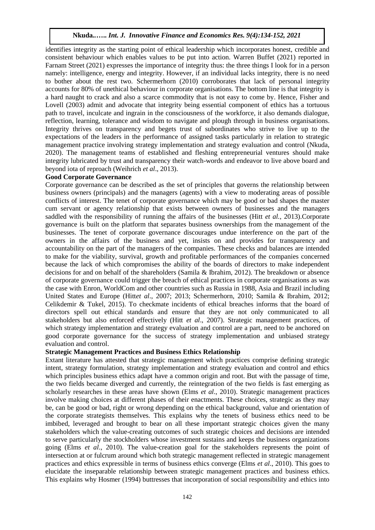identifies integrity as the starting point of ethical leadership which incorporates honest, credible and consistent behaviour which enables values to be put into action. Warren Buffet (2021) reported in Farnam Street (2021) expresses the importance of integrity thus: the three things I look for in a person namely: intelligence, energy and integrity. However, if an individual lacks integrity, there is no need to bother about the rest two. Schermerhorn (2010) corroborates that lack of personal integrity accounts for 80% of unethical behaviour in corporate organisations. The bottom line is that integrity is a hard naught to crack and also a scarce commodity that is not easy to come by. Hence, Fisher and Lovell (2003) admit and advocate that integrity being essential component of ethics has a tortuous path to travel, inculcate and ingrain in the consciousness of the workforce, it also demands dialogue, reflection, learning, tolerance and wisdom to navigate and plough through in business organisations. Integrity thrives on transparency and begets trust of subordinates who strive to live up to the expectations of the leaders in the performance of assigned tasks particularly in relation to strategic management practice involving strategy implementation and strategy evaluation and control (Nkuda, 2020). The management teams of established and fleshing entrepreneurial ventures should make integrity lubricated by trust and transparency their watch-words and endeavor to live above board and beyond iota of reproach (Weihrich *et al*., 2013).

#### **Good Corporate Governance**

Corporate governance can be described as the set of principles that governs the relationship between business owners (principals) and the managers (agents) with a view to moderating areas of possible conflicts of interest. The tenet of corporate governance which may be good or bad shapes the master cum servant or agency relationship that exists between owners of businesses and the managers saddled with the responsibility of running the affairs of the businesses (Hitt *et al.*, 2013).Corporate governance is built on the platform that separates business ownerships from the management of the businesses. The tenet of corporate governance discourages undue interference on the part of the owners in the affairs of the business and yet, insists on and provides for transparency and accountability on the part of the managers of the companies. These checks and balances are intended to make for the viability, survival, growth and profitable performances of the companies concerned because the lack of which compromises the ability of the boards of directors to make independent decisions for and on behalf of the shareholders (Samila & Ibrahim, 2012). The breakdown or absence of corporate governance could trigger the breach of ethical practices in corporate organisations as was the case with Enron, WorldCom and other countries such as Russia in 1988, Asia and Brazil including United States and Europe (Hitt*et al*., 2007; 2013; Schermerhorn, 2010; Samila & Ibrahim, 2012; Celikdemir & Tukel, 2015). To checkmate incidents of ethical breaches informs that the board of directors spell out ethical standards and ensure that they are not only communicated to all stakeholders but also enforced effectively (Hitt *et al*., 2007). Strategic management practices, of which strategy implementation and strategy evaluation and control are a part, need to be anchored on good corporate governance for the success of strategy implementation and unbiased strategy evaluation and control.

#### **Strategic Management Practices and Business Ethics Relationship**

Extant literature has attested that strategic management which practices comprise defining strategic intent, strategy formulation, strategy implementation and strategy evaluation and control and ethics which principles business ethics adapt have a common origin and root. But with the passage of time, the two fields became diverged and currently, the reintegration of the two fields is fast emerging as scholarly researches in these areas have shown (Elms *et al*., 2010). Strategic management practices involve making choices at different phases of their enactments. These choices, strategic as they may be, can be good or bad, right or wrong depending on the ethical background, value and orientation of the corporate strategists themselves. This explains why the tenets of business ethics need to be imbibed, leveraged and brought to bear on all these important strategic choices given the many stakeholders which the value-creating outcomes of such strategic choices and decisions are intended to serve particularly the stockholders whose investment sustains and keeps the business organizations going (Elms *et al*., 2010). The value-creation goal for the stakeholders represents the point of intersection at or fulcrum around which both strategic management reflected in strategic management practices and ethics expressible in terms of business ethics converge (Elms *et al*., 2010). This goes to elucidate the inseparable relationship between strategic management practices and business ethics. This explains why Hosmer (1994) buttresses that incorporation of social responsibility and ethics into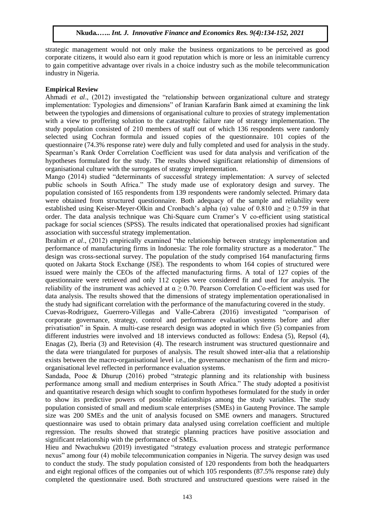strategic management would not only make the business organizations to be perceived as good corporate citizens, it would also earn it good reputation which is more or less an inimitable currency to gain competitive advantage over rivals in a choice industry such as the mobile telecommunication industry in Nigeria.

## **Empirical Review**

Ahmadi *et al*., (2012) investigated the "relationship between organizational culture and strategy implementation: Typologies and dimensions" of Iranian Karafarin Bank aimed at examining the link between the typologies and dimensions of organisational culture to proxies of strategy implementation with a view to proffering solution to the catastrophic failure rate of strategy implementation. The study population consisted of 210 members of staff out of which 136 respondents were randomly selected using Cochran formula and issued copies of the questionnaire. 101 copies of the questionnaire (74.3% response rate) were duly and fully completed and used for analysis in the study. Spearman's Rank Order Correlation Coefficient was used for data analysis and verification of the hypotheses formulated for the study. The results showed significant relationship of dimensions of organisational culture with the surrogates of strategy implementation.

Mango (2014) studied "determinants of successful strategy implementation: A survey of selected public schools in South Africa." The study made use of exploratory design and survey. The population consisted of 165 respondents from 139 respondents were randomly selected. Primary data were obtained from structured questionnaire. Both adequacy of the sample and reliability were established using Keiser-Meyer-Olkin and Cronbach's alpha ( $\alpha$ ) value of 0.810 and  $\geq$  0.759 in that order. The data analysis technique was Chi-Square cum Cramer's V co-efficient using statistical package for social sciences (SPSS). The results indicated that operationalised proxies had significant association with successful strategy implementation.

Ibrahim *et al*., (2012) empirically examined "the relationship between strategy implementation and performance of manufacturing firms in Indonesia: The role formality structure as a moderator." The design was cross-sectional survey. The population of the study comprised 164 manufacturing firms quoted on Jakarta Stock Exchange (JSE). The respondents to whom 164 copies of structured were issued were mainly the CEOs of the affected manufacturing firms. A total of 127 copies of the questionnaire were retrieved and only 112 copies were considered fit and used for analysis. The reliability of the instrument was achieved at  $\alpha \ge 0.70$ . Pearson Correlation Co-efficient was used for data analysis. The results showed that the dimensions of strategy implementation operationalised in the study had significant correlation with the performance of the manufacturing covered in the study.

Cuevas-Rodriguez, Guerrero-Villegas and Valle-Cabrera (2016) investigated "comparison of corporate governance, strategy, control and performance evaluation systems before and after privatisation" in Spain. A multi-case research design was adopted in which five (5) companies from different industries were involved and 18 interviews conducted as follows: Endesa (5), Repsol (4), Enagas (2), Iberia (3) and Retevision (4). The research instrument was structured questionnaire and the data were triangulated for purposes of analysis. The result showed inter-alia that a relationship exists between the macro-organisational level i.e., the governance mechanism of the firm and microorganisational level reflected in performance evaluation systems.

Sandada, Pooe & Dhurup (2016) probed "strategic planning and its relationship with business performance among small and medium enterprises in South Africa." The study adopted a positivist and quantitative research design which sought to confirm hypotheses formulated for the study in order to show its predictive powers of possible relationships among the study variables. The study population consisted of small and medium scale enterprises (SMEs) in Gauteng Province. The sample size was 200 SMEs and the unit of analysis focused on SME owners and managers. Structured questionnaire was used to obtain primary data analysed using correlation coefficient and multiple regression. The results showed that strategic planning practices have positive association and significant relationship with the performance of SMEs.

Hieu and Nwachukwu (2019) investigated "strategy evaluation process and strategic performance nexus" among four (4) mobile telecommunication companies in Nigeria. The survey design was used to conduct the study. The study population consisted of 120 respondents from both the headquarters and eight regional offices of the companies out of which 105 respondents (87.5% response rate) duly completed the questionnaire used. Both structured and unstructured questions were raised in the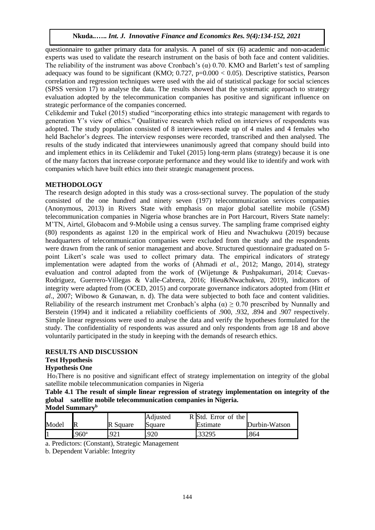questionnaire to gather primary data for analysis. A panel of six (6) academic and non-academic experts was used to validate the research instrument on the basis of both face and content validities. The reliability of the instrument was above Cronbach's ( $\alpha$ ) 0.70. KMO and Barlett's test of sampling adequacy was found to be significant (KMO;  $0.727$ ,  $p=0.000 < 0.05$ ). Descriptive statistics, Pearson correlation and regression techniques were used with the aid of statistical package for social sciences (SPSS version 17) to analyse the data. The results showed that the systematic approach to strategy evaluation adopted by the telecommunication companies has positive and significant influence on strategic performance of the companies concerned.

Celikdemir and Tukel (2015) studied "incorporating ethics into strategic management with regards to generation Y's view of ethics." Qualitative research which relied on interviews of respondents was adopted. The study population consisted of 8 interviewees made up of 4 males and 4 females who held Bachelor's degrees. The interview responses were recorded, transcribed and then analysed. The results of the study indicated that interviewees unanimously agreed that company should build into and implement ethics in its Celikdemir and Tukel (2015) long-term plans (strategy) because it is one of the many factors that increase corporate performance and they would like to identify and work with companies which have built ethics into their strategic management process.

## **METHODOLOGY**

The research design adopted in this study was a cross-sectional survey. The population of the study consisted of the one hundred and ninety seven (197) telecommunication services companies (Anonymous, 2013) in Rivers State with emphasis on major global satellite mobile (GSM) telecommunication companies in Nigeria whose branches are in Port Harcourt, Rivers State namely: M'TN, Airtel, Globacom and 9-Mobile using a census survey. The sampling frame comprised eighty (80) respondents as against 120 in the empirical work of Hieu and Nwachukwu (2019) because headquarters of telecommunication companies were excluded from the study and the respondents were drawn from the rank of senior management and above. Structured questionnaire graduated on 5 point Likert's scale was used to collect primary data. The empirical indicators of strategy implementation were adapted from the works of (Ahmadi *et al.,* 2012; Mango, 2014), strategy evaluation and control adapted from the work of (Wijetunge & Pushpakumari, 2014; Cuevas-Rodriguez, Guerrero-Villegas & Valle-Cabrera, 2016; Hieu&Nwachukwu, 2019), indicators of integrity were adapted from (OCED, 2015) and corporate governance indicators adopted from (Hitt *et al*., 2007; Wibowo & Gunawan, n. d). The data were subjected to both face and content validities. Reliability of the research instrument met Cronbach's alpha ( $\alpha$ )  $\geq$  0.70 prescribed by Nunnally and Berstein (1994) and it indicated a reliability coefficients of .900, .932, .894 and .907 respectively. Simple linear regressions were used to analyse the data and verify the hypotheses formulated for the study. The confidentiality of respondents was assured and only respondents from age 18 and above voluntarily participated in the study in keeping with the demands of research ethics.

## **RESULTS AND DISCUSSION**

# **Test Hypothesis**

# **Hypothesis One**

Ho1There is no positive and significant effect of strategy implementation on integrity of the global satellite mobile telecommunication companies in Nigeria

**Table 4.1 The result of simple linear regression of strategy implementation on integrity of the global satellite mobile telecommunication companies in Nigeria. Model Summary<sup>b</sup>**

| -------------------- |                  |          |          |                     |               |
|----------------------|------------------|----------|----------|---------------------|---------------|
|                      |                  |          | Adjusted | R Std. Error of the |               |
| Model                | $\mathbb R$      | R Square | Square   | Estimate            | Durbin-Watson |
|                      | 960 <sup>a</sup> | 92.      | .920     | .33295              | 864           |
|                      |                  |          |          |                     |               |

a. Predictors: (Constant), Strategic Management

b. Dependent Variable: Integrity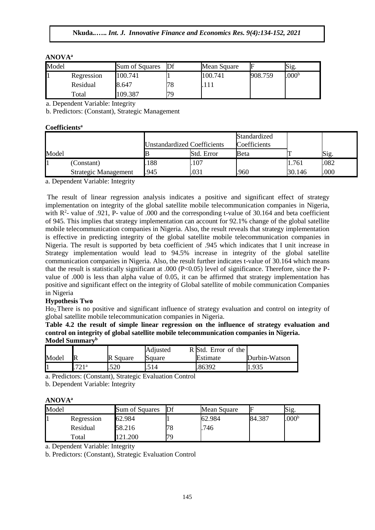## **ANOVA<sup>a</sup>**

| Model |                | Sum of Squares | Df | Mean Square | ⊩       | Sig.              |
|-------|----------------|----------------|----|-------------|---------|-------------------|
| Ш     | Regression     | 100.741        |    | 100.741     | 908.759 | .000 <sup>b</sup> |
|       | Residual       | 8.647          | 78 |             |         |                   |
|       | $_{\rm Total}$ | 109.387        | 79 |             |         |                   |

a. Dependent Variable: Integrity

b. Predictors: (Constant), Strategic Management

## **Coefficients<sup>a</sup>**

|       |                      | <b>Unstandardized Coefficients</b> |            | Standardized<br>Coefficients |        |      |
|-------|----------------------|------------------------------------|------------|------------------------------|--------|------|
| Model |                      |                                    | Std. Error | Beta                         |        | Sig. |
|       | (Constant)           | 188                                | .107       |                              | 1.761  | .082 |
|       | Strategic Management | .945                               | .031       | .960                         | 30.146 | .000 |

a. Dependent Variable: Integrity

The result of linear regression analysis indicates a positive and significant effect of strategy implementation on integrity of the global satellite mobile telecommunication companies in Nigeria, with  $R^2$ - value of .921, P- value of .000 and the corresponding t-value of 30.164 and beta coefficient of 945. This implies that strategy implementation can account for 92.1% change of the global satellite mobile telecommunication companies in Nigeria. Also, the result reveals that strategy implementation is effective in predicting integrity of the global satellite mobile telecommunication companies in Nigeria. The result is supported by beta coefficient of .945 which indicates that I unit increase in Strategy implementation would lead to 94.5% increase in integrity of the global satellite communication companies in Nigeria. Also, the result further indicates t-value of 30.164 which means that the result is statistically significant at .000 (P<0.05) level of significance. Therefore, since the Pvalue of .000 is less than alpha value of 0.05, it can be affirmed that strategy implementation has positive and significant effect on the integrity of Global satellite of mobile communication Companies in Nigeria

## **Hypothesis Two**

Ho2.There is no positive and significant influence of strategy evaluation and control on integrity of global satellite mobile telecommunication companies in Nigeria.

#### **Table 4.2 the result of simple linear regression on the influence of strategy evaluation and control on integrity of global satellite mobile telecommunication companies in Nigeria. Model Summary<sup>b</sup>**

|       |              |             | Adiusted | $R$ Std.<br>. Error of the |               |
|-------|--------------|-------------|----------|----------------------------|---------------|
| Model | $\mathbb{R}$ | Square<br>R | Square   | Estimate                   | Durbin-Watson |
| Ш     | 70 1 a       | .520        | 14<br>   | 86392                      | 1.935         |

a. Predictors: (Constant), Strategic Evaluation Control

b. Dependent Variable: Integrity

## **ANOVA<sup>a</sup>**

| Model |            | Sum of Squares | Df | Mean Square |        | Sig.              |  |
|-------|------------|----------------|----|-------------|--------|-------------------|--|
| 1     | Regression | 62.984         |    | 62.984      | 84.387 | .000 <sup>b</sup> |  |
|       | Residual   | 58.216         | 78 | 746         |        |                   |  |
|       | Total      | 121.200        | 79 |             |        |                   |  |

a. Dependent Variable: Integrity

b. Predictors: (Constant), Strategic Evaluation Control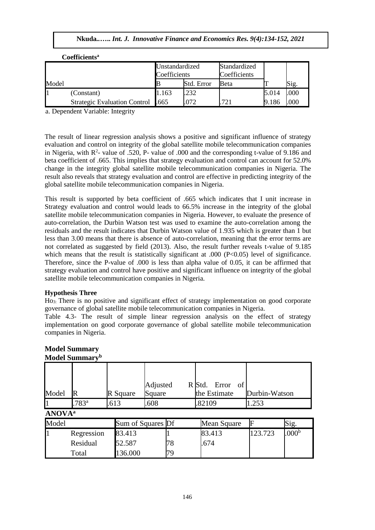|       | Cochiciches                         |                                |            |                              |       |      |  |
|-------|-------------------------------------|--------------------------------|------------|------------------------------|-------|------|--|
|       |                                     | Unstandardized<br>Coefficients |            | Standardized<br>Coefficients |       |      |  |
| Model |                                     |                                | Std. Error | Beta                         |       | Sig. |  |
|       | (Constant)                          | 1.163                          | .232       |                              | 5.014 | .000 |  |
|       | <b>Strategic Evaluation Control</b> | .665                           | 072        | 72.                          | 9.186 | .000 |  |

 $C$ oefficients<sup>a</sup>

a. Dependent Variable: Integrity

The result of linear regression analysis shows a positive and significant influence of strategy evaluation and control on integrity of the global satellite mobile telecommunication companies in Nigeria, with  $R^2$ - value of .520, P- value of .000 and the corresponding t-value of 9.186 and beta coefficient of .665. This implies that strategy evaluation and control can account for 52.0% change in the integrity global satellite mobile telecommunication companies in Nigeria. The result also reveals that strategy evaluation and control are effective in predicting integrity of the global satellite mobile telecommunication companies in Nigeria.

This result is supported by beta coefficient of .665 which indicates that I unit increase in Strategy evaluation and control would leads to 66.5% increase in the integrity of the global satellite mobile telecommunication companies in Nigeria. However, to evaluate the presence of auto-correlation, the Durbin Watson test was used to examine the auto-correlation among the residuals and the result indicates that Durbin Watson value of 1.935 which is greater than 1 but less than 3.00 means that there is absence of auto-correlation, meaning that the error terms are not correlated as suggested by field (2013). Also, the result further reveals t-value of 9.185 which means that the result is statistically significant at .000 (P<0.05) level of significance. Therefore, since the P-value of .000 is less than alpha value of 0.05, it can be affirmed that strategy evaluation and control have positive and significant influence on integrity of the global satellite mobile telecommunication companies in Nigeria.

## **Hypothesis Three**

Ho3: There is no positive and significant effect of strategy implementation on good corporate governance of global satellite mobile telecommunication companies in Nigeria.

Table 4.3- The result of simple linear regression analysis on the effect of strategy implementation on good corporate governance of global satellite mobile telecommunication companies in Nigeria.

| Model                     | $\mathbb{R}$      | R Square          | Adjusted<br>Square |    | R Std. | Error<br>the Estimate | of | Durbin-Watson |                   |
|---------------------------|-------------------|-------------------|--------------------|----|--------|-----------------------|----|---------------|-------------------|
|                           | .783 <sup>a</sup> | .613              | .608               |    | .82109 |                       |    | 1.253         |                   |
| <b>ANOVA</b> <sup>a</sup> |                   |                   |                    |    |        |                       |    |               |                   |
| Model                     |                   | Sum of Squares Df |                    |    |        | Mean Square           |    | E             | Sig.              |
|                           | Regression        | 83.413            |                    |    |        | 83.413                |    | 123.723       | .000 <sup>b</sup> |
|                           | Residual          | 52.587            |                    | 78 | .674   |                       |    |               |                   |
|                           | Total             | 136.000           |                    | 79 |        |                       |    |               |                   |

#### **Model Summary Model Summary<sup>b</sup>**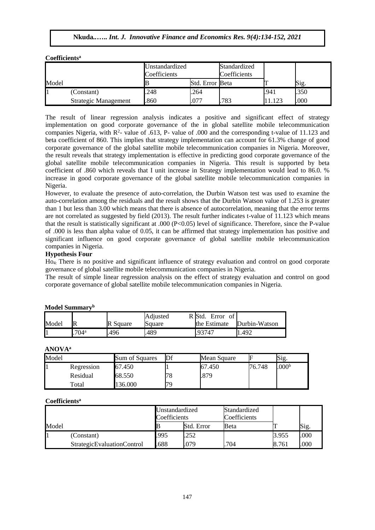| Model |                             | Unstandardized<br>Coefficients |                 | Standardized<br>Coefficients |                 |      |  |
|-------|-----------------------------|--------------------------------|-----------------|------------------------------|-----------------|------|--|
|       |                             |                                | Std. Error Beta |                              |                 | Sig. |  |
|       | (Constant)                  | .248                           | 264             |                              | .941            | .350 |  |
|       | <b>Strategic Management</b> | .860                           | .077            | 783                          | 12 <sub>2</sub> | .000 |  |

The result of linear regression analysis indicates a positive and significant effect of strategy implementation on good corporate governance of the in global satellite mobile telecommunication companies Nigeria, with  $R^2$ - value of .613, P- value of .000 and the corresponding t-value of 11.123 and beta coefficient of 860. This implies that strategy implementation can account for 61.3% change of good corporate governance of the global satellite mobile telecommunication companies in Nigeria. Moreover, the result reveals that strategy implementation is effective in predicting good corporate governance of the global satellite mobile telecommunication companies in Nigeria. This result is supported by beta coefficient of .860 which reveals that I unit increase in Strategy implementation would lead to 86.0. % increase in good corporate governance of the global satellite mobile telecommunication companies in Nigeria.

However, to evaluate the presence of auto-correlation, the Durbin Watson test was used to examine the auto-correlation among the residuals and the result shows that the Durbin Watson value of 1.253 is greater than 1 but less than 3.00 which means that there is absence of autocorrelation, meaning that the error terms are not correlated as suggested by field (2013). The result further indicates t-value of 11.123 which means that the result is statistically significant at .000 (P<0.05) level of significance. Therefore, since the P-value of .000 is less than alpha value of 0.05, it can be affirmed that strategy implementation has positive and significant influence on good corporate governance of global satellite mobile telecommunication companies in Nigeria.

#### **Hypothesis Four**

**Coefficients<sup>a</sup>**

Ho4: There is no positive and significant influence of strategy evaluation and control on good corporate governance of global satellite mobile telecommunication companies in Nigeria.

The result of simple linear regression analysis on the effect of strategy evaluation and control on good corporate governance of global satellite mobile telecommunication companies in Nigeria.

| Model |                  | R Square | Adiusted<br>Square | R Std.<br>Error<br>- of<br>the Estimate | Durbin-Watson |
|-------|------------------|----------|--------------------|-----------------------------------------|---------------|
|       | 704 <sup>a</sup> | 496      | 489                | .93747                                  | 1.492         |

# **Model Summary<sup>b</sup>**

#### **ANOVA<sup>a</sup>**

| Model |            | Sum of Squares |         | Mean Square |        | S1g.              |
|-------|------------|----------------|---------|-------------|--------|-------------------|
|       | Regression | 67.450         |         | 67.450      | 76.748 | .000 <sup>b</sup> |
|       | Residual   | 68.550         | $\circ$ | .879        |        |                   |
|       | Total      | 136.000        | 70      |             |        |                   |

#### **Coefficients<sup>a</sup>**

| Model |                                   | Unstandardized<br>Coefficients |            | Standardized<br>Coefficients |       |      |
|-------|-----------------------------------|--------------------------------|------------|------------------------------|-------|------|
|       |                                   |                                | Std. Error | Beta                         |       | Sig. |
|       | (Constant)                        | .995                           | 252        |                              | 3.955 | .000 |
|       | <b>StrategicEvaluationControl</b> | .688                           | .079       | 704                          | 8.761 | .000 |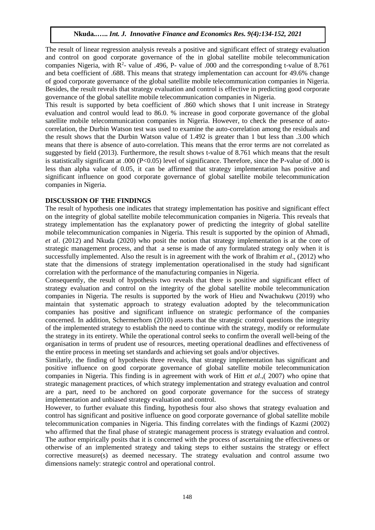The result of linear regression analysis reveals a positive and significant effect of strategy evaluation and control on good corporate governance of the in global satellite mobile telecommunication companies Nigeria, with  $R^2$ - value of .496, P- value of .000 and the corresponding t-value of 8.761 and beta coefficient of .688. This means that strategy implementation can account for 49.6% change of good corporate governance of the global satellite mobile telecommunication companies in Nigeria. Besides, the result reveals that strategy evaluation and control is effective in predicting good corporate governance of the global satellite mobile telecommunication companies in Nigeria.

This result is supported by beta coefficient of .860 which shows that I unit increase in Strategy evaluation and control would lead to 86.0. % increase in good corporate governance of the global satellite mobile telecommunication companies in Nigeria. However, to check the presence of autocorrelation, the Durbin Watson test was used to examine the auto-correlation among the residuals and the result shows that the Durbin Watson value of 1.492 is greater than 1 but less than .3.00 which means that there is absence of auto-correlation. This means that the error terms are not correlated as suggested by field (2013). Furthermore, the result shows t-value of 8.761 which means that the result is statistically significant at .000 (P<0.05) level of significance. Therefore, since the P-value of .000 is less than alpha value of 0.05, it can be affirmed that strategy implementation has positive and significant influence on good corporate governance of global satellite mobile telecommunication companies in Nigeria.

# **DISCUSSION OF THE FINDINGS**

The result of hypothesis one indicates that strategy implementation has positive and significant effect on the integrity of global satellite mobile telecommunication companies in Nigeria. This reveals that strategy implementation has the explanatory power of predicting the integrity of global satellite mobile telecommunication companies in Nigeria. This result is supported by the opinion of Ahmadi, *et al*. (2012) and Nkuda (2020) who posit the notion that strategy implementation is at the core of strategic management process, and that a sense is made of any formulated strategy only when it is successfully implemented. Also the result is in agreement with the work of Ibrahim *et al*., (2012) who state that the dimensions of strategy implementation operationalised in the study had significant correlation with the performance of the manufacturing companies in Nigeria.

Consequently, the result of hypothesis two reveals that there is positive and significant effect of strategy evaluation and control on the integrity of the global satellite mobile telecommunication companies in Nigeria. The results is supported by the work of Hieu and Nwachukwu (2019) who maintain that systematic approach to strategy evaluation adopted by the telecommunication companies has positive and significant influence on strategic performance of the companies concerned. In addition, Schermerhorn (2010) asserts that the strategic control questions the integrity of the implemented strategy to establish the need to continue with the strategy, modify or reformulate the strategy in its entirety. While the operational control seeks to confirm the overall well-being of the organisation in terms of prudent use of resources, meeting operational deadlines and effectiveness of the entire process in meeting set standards and achieving set goals and/or objectives.

Similarly, the finding of hypothesis three reveals, that strategy implementation has significant and positive influence on good corporate governance of global satellite mobile telecommunication companies in Nigeria. This finding is in agreement with work of Hitt *et al*.,( 2007) who opine that strategic management practices, of which strategy implementation and strategy evaluation and control are a part, need to be anchored on good corporate governance for the success of strategy implementation and unbiased strategy evaluation and control.

However, to further evaluate this finding, hypothesis four also shows that strategy evaluation and control has significant and positive influence on good corporate governance of global satellite mobile telecommunication companies in Nigeria. This finding correlates with the findings of Kazmi (2002) who affirmed that the final phase of strategic management process is strategy evaluation and control. The author empirically posits that it is concerned with the process of ascertaining the effectiveness or otherwise of an implemented strategy and taking steps to either sustains the strategy or effect corrective measure(s) as deemed necessary. The strategy evaluation and control assume two dimensions namely: strategic control and operational control.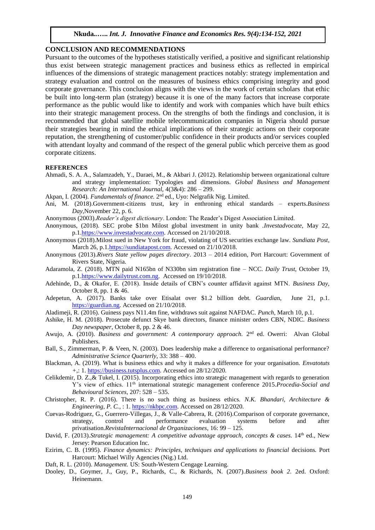#### **CONCLUSION AND RECOMMENDATIONS**

Pursuant to the outcomes of the hypotheses statistically verified, a positive and significant relationship thus exist between strategic management practices and business ethics as reflected in empirical influences of the dimensions of strategic management practices notably: strategy implementation and strategy evaluation and control on the measures of business ethics comprising integrity and good corporate governance. This conclusion aligns with the views in the work of certain scholars that ethic be built into long-term plan (strategy) because it is one of the many factors that increase corporate performance as the public would like to identify and work with companies which have built ethics into their strategic management process. On the strengths of both the findings and conclusion, it is recommended that global satellite mobile telecommunication companies in Nigeria should pursue their strategies bearing in mind the ethical implications of their strategic actions on their corporate reputation, the strengthening of customer/public confidence in their products and/or services coupled with attendant loyalty and command of the respect of the general public which perceive them as good corporate citizens.

#### **REFERENCES**

- Ahmadi, S. A. A., Salamzadeh, Y., Daraei, M., & Akbari J. (2012). Relationship between organizational culture and strategy implementation: Typologies and dimensions. *Global Business and Management Research: An International Journal,* 4(3&4): 286 – 299.
- Akpan, I. (2004). *Fundamentals of finance*. 2<sup>nd</sup> ed., Uyo: Nelgrafik Nig. Limited.
- Ani, M. (2018).Government-citizens trust, key in enthroning ethical standards experts.*Business Day*,November 22, p. 6.
- Anonymous (2003).*Reader's digest dictionary*. London: The Reader's Digest Association Limited.
- Anonymous, (2018). SEC probe \$1bn Milost global investment in unity bank .*Investadvocate*, May 22, p.[1.https://www.investadvocate.com.](https://www.investadvocate.com/) Accessed on 21/10/2018.
- Anonymous (2018).Milost sued in New York for fraud, violating of US securities exchange law. *Sundiata Post*, March 26, p.1[.https://sundiatapost.com.](https://sundiatapost.com/) Accessed on 21/10/2018.
- Anonymous (2013).*Rivers State yellow pages directory*. 2013 2014 edition, Port Harcourt: Government of Rivers State, Nigeria.
- Adaramola, Z. (2018). MTN paid N165bn of N330bn sim registration fine NCC. *Daily Trust,* October 19, p.[1.https://www.dailytrust.com.ng.](https://www.dailytrust.com.ng/) Accessed on 19/10/2018.
- Adehinde, D., & Okafor, E. (2018). Inside details of CBN's counter affidavit against MTN. *Business Day,* October 8, pp. 1 & 46.
- Adepetun, A. (2017). Banks take over Etisalat over \$1.2 billion debt. *Guardia*n, June 21, p.1. [https://guardian.ng.](https://guardian.ng/) Accessed on 21/10/2018.
- Aladimeji, R. (2016). Guiness pays N11.4m fine, withdraws suit against NAFDAC. *Punch*, March 10, p.1.
- Ashike, H. M. (2018). Prosecute defunct Skye bank directors, finance minister orders CBN, NDIC. *Business Day newspaper*, October 8, pp. 2 & 46.
- Awujo, A. (2010). *Business and government: A contemporary approach*. 2<sup>nd</sup> ed. Owerri: Alvan Global Publishers.
- Ball, S., Zimmerman, P. & Veen, N. (2003). Does leadership make a difference to organisational performance? *Administrative Science Quarterly*, 33: 388 – 400.
- Blackman, A. (2019). What is business ethics and why it makes a difference for your organisation. *Envatotuts +*,: 1. [https://business.tutsplus.com.](https://business.tutsplus.com/) Accessed on 28/12/2020.
- Celikdemir, D. Z.,& Tukel, I. (2015). Incorporating ethics into strategic management with regards to generation Y's view of ethics. 11<sup>th</sup> international strategic management conference 2015.*Procedia-Social and Behavioural Sciences,* 207: 528 – 535.
- Christopher, R. P. (2016). There is no such thing as business ethics. *N.K. Bhandari, Architecture & Engineering, P. C.*, : 1. *https://nkbpc.com*. Accessed on 28/12/2020.
- Cuevas-Rodriguez, G., Guerrero-Villegas, J., & Valle-Cabrera, R. (2016).Comparison of corporate governance, strategy, control and performance evaluation systems before and after privatisation.*RevistaInternacional de Organizaciones,* 16: 99 – 125.
- David, F. (2013).*Strategic management: A competitive advantage approach, concepts & cases*. 14<sup>th</sup> ed., New Jersey: Pearson Education Inc.
- Ezirim, C. B. (1995). *Finance dynamics: Principles, techniques and applications to financial* decisions*.* Port Harcourt: Michael Willy Agencies (Nig.) Ltd.
- Daft, R. L. (2010). *Management.* US: South-Western Cengage Learning.
- Dooley, D., Goymer, J., Guy, P., Richards, C., & Richards, N. (2007).*Business book 2*. 2ed. Oxford: Heinemann.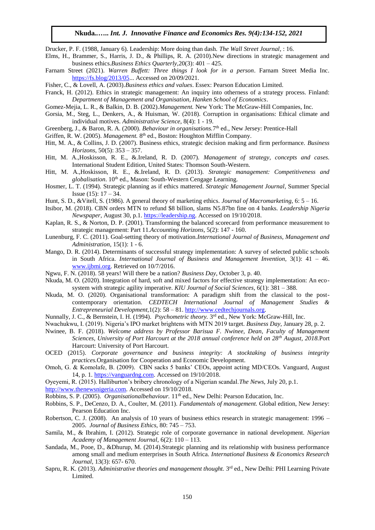Drucker, P. F. (1988, January 6). Leadership: More doing than dash. *The Wall Street Journal*, : 16.

- Elms, H., Brammer, S., Harris, J. D., & Phillips, R. A. (2010).New directions in strategic management and business ethics.*Business Ethics Quarterly,*20(3): 401 – 425.
- Farnam Street (2021). *Warren Buffett: Three things I look for in a person*. Farnam Street Media Inc. [https://fs.blog/2013/05.](https://fs.blog/2013/05).. Accessed on 20/09/2021.
- Fisher, C., & Lovell, A. (2003).*Business ethics and values*. Essex: Pearson Education Limited.
- Franck, H. (2012). Ethics in strategic management: An inquiry into otherness of a strategy process. Finland: *Department of Management and Organisation, Hanken School of Economics*.

Gomez-Mejia, L. R., & Balkin, D. B. (2002).*Management.* New York: The McGraw-Hill Companies, Inc.

- Gorsia, M., Steg, L., Denkers, A., & Huisman, W. (2018). Corruption in organisations: Ethical climate and individual motives. *Administrative Science*, 8(4): 1 - 19.
- Greenberg, J., & Baron, R. A. (2000). *Behaviour in organisations*. 7<sup>th</sup> ed., New Jersey: Prentice-Hall
- Griffen, R. W. (2005). Management. 8<sup>th</sup> ed., Boston: Houghton Mifflin Company.
- Hitt, M. A., & Collins, J. D. (2007). Business ethics, strategic decision making and firm performance. *Business Horizons,* 50(5): 353 – 357.
- Hitt, M. A.,Hoskisson, R. E., &.Ireland, R. D. (2007). *Management of strategy, concepts and cases.* International Student Edition, United States: Thomson South-Western.
- Hitt, M. A.,Hoskisson, R. E., &.Ireland, R. D. (2013). *Strategic management: Competitiveness and*  globalisation. 10<sup>th</sup> ed., Mason: South-Western Cengage Learning.
- Hosmer, L. T. (1994). Strategic planning as if ethics mattered. *Strategic Management Journal*, Summer Special Issue  $(15)$ :  $17 - 34$ .
- Hunt, S. D., &Vitell, S. (1986). A general theory of marketing ethics. *Journal of Macromarketing,* 6: 5 16.
- Itsibor, M. (2018). CBN orders MTN to refund \$8 billion, slams N5.87bn fine on 4 banks. *Leadership Nigeria Newspaper,* August 30, p.1. [https://leadership.ng.](https://leadership.ng/) Accessed on 19/10/2018.
- Kaplan, R. S., & Norton, D. P. (2001). Transforming the balanced scorecard from performance measurement to strategic management: Part 11.*Accounting Horizons*, 5(2): 147 - 160.
- Lunenburg, F. C. (2011). Goal-setting theory of motivation.*International Journal of Business, Management and Administration,* 15(1): 1 - 6.
- Mango, D. R. (2014). Determinants of successful strategy implementation: A survey of selected public schools in South Africa. *International Journal of Business and Management Invention,* 3(1): 41 – 46. [www.ijbmi.org.](http://www.ijbmi.org/) Retrieved on 10/7/2016.
- Ngwu, F. N. (2018). 58 years! Will there be a nation? *Business Day*, October 3, p. 40.
- Nkuda, M. O. (2020). Integration of hard, soft and mixed factors for effective strategy implementation: An ecosystem with strategic agility imperative. *KIU Journal of Social Sciences,* 6(1): 381 – 388.
- Nkuda, M. O. (2020). Organisational transformation: A paradigm shift from the classical to the postcontemporary orientation. *CEDTECH International Journal of Management Studies & Entrepreneurial Development,*1(2): 58 – 81[. http://www.cedtechjournals.org.](http://www.cedtechjournals.org/)
- Nunnally, J. C., & Bernstein, I. H. (1994). *Psychometric theory*. 3<sup>rd</sup> ed., New York: McGraw-Hill, Inc.
- Nwachukwu, I. (2019). Nigeria's IPO market brightens with MTN 2019 target. *Business Day,* January 28, p. 2.
- Nwinee, B. F. (2018). *Welcome address by Professor Barisua F. Nwinee, Dean, Faculty of Management Sciences, University of Port Harcourt at the 2018 annual conference held on 28th August, 2018.*Port Harcourt: University of Port Harcourt.
- OCED (2015). *Corporate governance and business integrity: A stocktaking of business integrity practices.*Organisation for Cooperation and Economic Development.
- Omoh, G. & Komolafe, B. (2009). CBN sacks 5 banks' CEOs, appoint acting MD/CEOs. Vanguard, August 14, p. 1[. https://vanguardng.com.](https://vanguardng.com/) Accessed on 19/10/2018.
- Oyeyemi, R. (2015). Halliburton's bribery chronology of a Nigerian scandal.*The News*, July 20, p.1.
- [http://www.thenewsnigeria.com.](http://www.thenewsnigeria.com/) Accessed on 19/10/2018.
- Robbins, S. P. (2005). *Organisationalbehaviour*. 11<sup>th</sup> ed., New Delhi: Pearson Education, Inc.
- Robbins, S. P., DeCenzo, D. A., Coulter, M. (2011). *Fundamentals of management.* Global edition, New Jersey: Pearson Education Inc.
- Robertson, C. J. (2008). An analysis of 10 years of business ethics research in strategic management: 1996 2005. *Journal of Business Ethics,* 80: 745 – 753.
- Samila, M., & Ibrahim, I. (2012). Strategic role of corporate governance in national development. *Nigerian Academy of Management Journal,* 6(2): 110 – 113.
- Sandada, M., Pooe, D., &Dhurup, M. (2014).Strategic planning and its relationship with business performance among small and medium enterprises in South Africa. *International Business & Economics Research Journal,* 13(3): 657- 670.
- Sapru, R. K. (2013). *Administrative theories and management thought*. 3<sup>rd</sup> ed., New Delhi: PHI Learning Private Limited.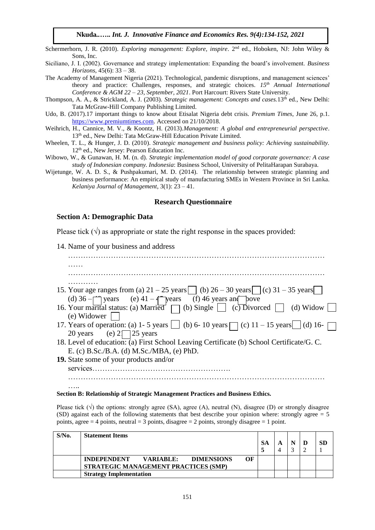Schermerhorn, J. R. (2010). *Exploring management: Explore, inspire*. 2nd ed., Hoboken, NJ: John Wiley & Sons, Inc.

Siciliano, J. I. (2002). Governance and strategy implementation: Expanding the board's involvement. *Business Horizons,* 45(6): 33 – 38.

The Academy of Management Nigeria (2021). Technological, pandemic disruptions, and management sciences' theory and practice: Challenges, responses, and strategic choices. *15th Annual International Conference & AGM 22 – 23, September, 2021*. Port Harcourt: Rivers State University.

Thompson, A. A., & Strickland, A. J. (2003). *Strategic management: Concepts and cases.*13th ed., New Delhi: Tata McGraw-Hill Company Publishing Limited.

Udo, B. (2017).17 important things to know about Etisalat Nigeria debt crisis. *Premium Times*, June 26, p.1. [https://www.premiumtimes.com.](https://www.premiumtimes.com/) Accessed on 21/10/2018.

- Weihrich, H., Cannice, M. V., & Koontz, H. (2013).*Management: A global and entrepreneurial perspective*. 13<sup>th</sup> ed., New Delhi: Tata McGraw-Hill Education Private Limited.
- Wheelen, T. L., & Hunger, J. D. (2010). *Strategic management and business policy: Achieving sustainability.*  12<sup>th</sup> ed., New Jersey: Pearson Education Inc.
- Wibowo, W., & Gunawan, H. M. (n. d). *Strategic implementation model of good corporate governance: A case study of Indonesian company. Indonesia*: Business School, University of PelitaHarapan Surabaya.
- Wijetunge, W. A. D. S., & Pushpakumari, M. D. (2014). The relationship between strategic planning and business performance: An empirical study of manufacturing SMEs in Western Province in Sri Lanka. *Kelaniya Journal of Management*, 3(1): 23 – 41.

#### **Research Questionnaire**

#### **Section A: Demographic Data**

Please tick  $(\sqrt{)}$  as appropriate or state the right response in the spaces provided:

14. Name of your business and address

| .                                                                                                                                                            |
|--------------------------------------------------------------------------------------------------------------------------------------------------------------|
|                                                                                                                                                              |
|                                                                                                                                                              |
| 15. Your age ranges from (a) $21 - 25$ years   (b) $26 - 30$ years   (c) $31 - 35$ years                                                                     |
|                                                                                                                                                              |
| (d) 36 – pears (e) 41 – pears (f) 46 years and pove<br>16. Your marital status: (a) Married (b) Single (c) Divorced (d) Widow<br>(e) Widower $\vert \ \vert$ |
| 17. Years of operation: (a) 1- 5 years $\[\]$ (b) 6- 10 years $\[\]$ (c) 11 - 15 years $\[\]$ (d) 16-                                                        |
| 20 years (e) $2\sqrt{2}$ 25 years                                                                                                                            |
| 18. Level of education: (a) First School Leaving Certificate (b) School Certificate/G. C.                                                                    |
| E. (c) B.Sc./B.A. (d) M.Sc./MBA, (e) PhD.                                                                                                                    |
| <b>19.</b> State some of your products and/or                                                                                                                |
| services                                                                                                                                                     |
|                                                                                                                                                              |
| .                                                                                                                                                            |

#### **Section B: Relationship of Strategic Management Practices and Business Ethics.**

Please tick  $(\sqrt)$  the options: strongly agree (SA), agree (A), neutral (N), disagree (D) or strongly disagree (SD) against each of the following statements that best describe your opinion where: strongly agree = 5 points, agree  $= 4$  points, neutral  $= 3$  points, disagree  $= 2$  points, strongly disagree  $= 1$  point.

| $S/N0$ . | <b>Statement Items</b>                                                                             | SA | A |  | SD. |
|----------|----------------------------------------------------------------------------------------------------|----|---|--|-----|
|          | OF<br>VARIABLE:<br><b>DIMENSIONS</b><br><b>INDEPENDENT</b><br>STRATEGIC MANAGEMENT PRACTICES (SMP) |    |   |  |     |
|          | <b>Strategy Implementation</b>                                                                     |    |   |  |     |